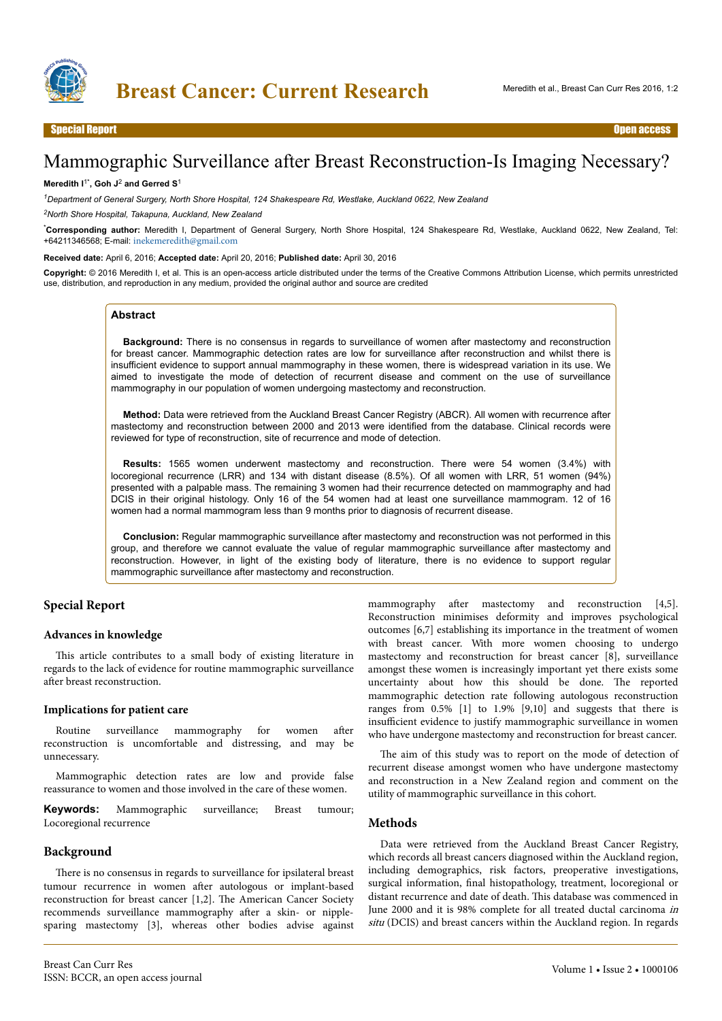

# Mammographic Surveillance after Breast Reconstruction-Is Imaging Necessary?

#### **Meredith I**1\***, Goh J**<sup>2</sup>  **and Gerred S**<sup>1</sup>

*<sup>1</sup>Department of General Surgery, North Shore Hospital, 124 Shakespeare Rd, Westlake, Auckland 0622, New Zealand*

*<sup>2</sup>North Shore Hospital, Takapuna, Auckland, New Zealand*

\***Corresponding author:** Meredith I, Department of General Surgery, North Shore Hospital, 124 Shakespeare Rd, Westlake, Auckland 0622, New Zealand, Tel: +64211346568; E-mail: [inekemeredith@gmail.com](mailto:inekemeredith@gmail.com)

**Received date:** April 6, 2016; **Accepted date:** April 20, 2016; **Published date:** April 30, 2016

**Copyright:** © 2016 Meredith I, et al. This is an open-access article distributed under the terms of the Creative Commons Attribution License, which permits unrestricted use, distribution, and reproduction in any medium, provided the original author and source are credited

#### **Abstract**

**Background:** There is no consensus in regards to surveillance of women after mastectomy and reconstruction for breast cancer. Mammographic detection rates are low for surveillance after reconstruction and whilst there is insufficient evidence to support annual mammography in these women, there is widespread variation in its use. We aimed to investigate the mode of detection of recurrent disease and comment on the use of surveillance mammography in our population of women undergoing mastectomy and reconstruction.

**Method:** Data were retrieved from the Auckland Breast Cancer Registry (ABCR). All women with recurrence after mastectomy and reconstruction between 2000 and 2013 were identified from the database. Clinical records were reviewed for type of reconstruction, site of recurrence and mode of detection.

**Results:** 1565 women underwent mastectomy and reconstruction. There were 54 women (3.4%) with locoregional recurrence (LRR) and 134 with distant disease (8.5%). Of all women with LRR, 51 women (94%) presented with a palpable mass. The remaining 3 women had their recurrence detected on mammography and had DCIS in their original histology. Only 16 of the 54 women had at least one surveillance mammogram. 12 of 16 women had a normal mammogram less than 9 months prior to diagnosis of recurrent disease.

**Conclusion:** Regular mammographic surveillance after mastectomy and reconstruction was not performed in this group, and therefore we cannot evaluate the value of regular mammographic surveillance after mastectomy and reconstruction. However, in light of the existing body of literature, there is no evidence to support regular mammographic surveillance after mastectomy and reconstruction.

# **Special Report**

#### **Advances in knowledge**

This article contributes to a small body of existing literature in regards to the lack of evidence for routine mammographic surveillance after breast reconstruction.

#### **Implications for patient care**

Routine surveillance mammography for women after reconstruction is uncomfortable and distressing, and may be unnecessary.

Mammographic detection rates are low and provide false reassurance to women and those involved in the care of these women.

**Keywords:** Mammographic surveillance; Breast tumour; Locoregional recurrence

#### **Background**

There is no consensus in regards to surveillance for ipsilateral breast tumour recurrence in women after autologous or implant-based reconstruction for breast cancer [1,2]. Нe American Cancer Society recommends surveillance mammography after a skin- or nipplesparing mastectomy [3], whereas other bodies advise against

Breast Can Curr Res ISSN: BCCR, an open access journal

mammography after mastectomy and reconstruction [4,5]. Reconstruction minimises deformity and improves psychological outcomes [6,7] establishing its importance in the treatment of women with breast cancer. With more women choosing to undergo mastectomy and reconstruction for breast cancer [8], surveillance amongst these women is increasingly important yet there exists some uncertainty about how this should be done. Нe reported mammographic detection rate following autologous reconstruction ranges from 0.5% [1] to 1.9% [9,10] and suggests that there is insufficient evidence to justify mammographic surveillance in women who have undergone mastectomy and reconstruction for breast cancer.

The aim of this study was to report on the mode of detection of recurrent disease amongst women who have undergone mastectomy and reconstruction in a New Zealand region and comment on the utility of mammographic surveillance in this cohort.

#### **Methods**

Data were retrieved from the Auckland Breast Cancer Registry, which records all breast cancers diagnosed within the Auckland region, including demographics, risk factors, preoperative investigations, surgical information, final histopathology, treatment, locoregional or distant recurrence and date of death. This database was commenced in June 2000 and it is 98% complete for all treated ductal carcinoma in situ (DCIS) and breast cancers within the Auckland region. In regards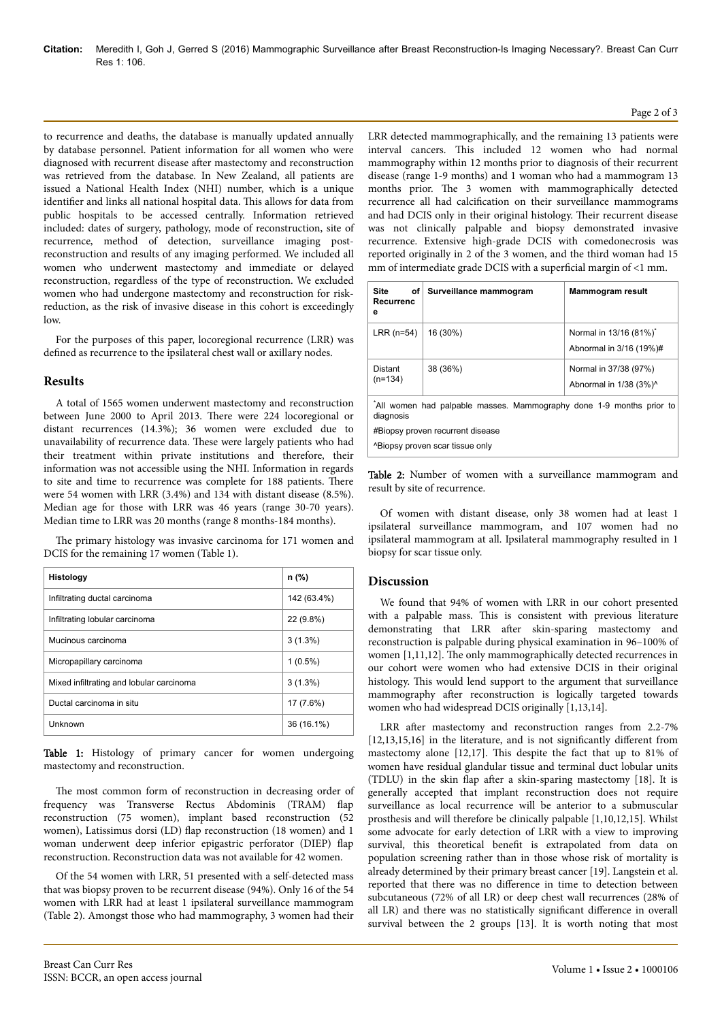to recurrence and deaths, the database is manually updated annually by database personnel. Patient information for all women who were diagnosed with recurrent disease after mastectomy and reconstruction was retrieved from the database. In New Zealand, all patients are issued a National Health Index (NHI) number, which is a unique identifier and links all national hospital data. This allows for data from public hospitals to be accessed centrally. Information retrieved included: dates of surgery, pathology, mode of reconstruction, site of recurrence, method of detection, surveillance imaging postreconstruction and results of any imaging performed. We included all women who underwent mastectomy and immediate or delayed reconstruction, regardless of the type of reconstruction. We excluded women who had undergone mastectomy and reconstruction for riskreduction, as the risk of invasive disease in this cohort is exceedingly low.

For the purposes of this paper, locoregional recurrence (LRR) was defined as recurrence to the ipsilateral chest wall or axillary nodes.

### **Results**

A total of 1565 women underwent mastectomy and reconstruction between June 2000 to April 2013. Нere were 224 locoregional or distant recurrences (14.3%); 36 women were excluded due to unavailability of recurrence data. Нese were largely patients who had their treatment within private institutions and therefore, their information was not accessible using the NHI. Information in regards to site and time to recurrence was complete for 188 patients. Нere were 54 women with LRR (3.4%) and 134 with distant disease (8.5%). Median age for those with LRR was 46 years (range 30-70 years). Median time to LRR was 20 months (range 8 months-184 months).

The primary histology was invasive carcinoma for 171 women and DCIS for the remaining 17 women (Table 1).

| Histology                                | n (%)       |
|------------------------------------------|-------------|
| Infiltrating ductal carcinoma            | 142 (63.4%) |
| Infiltrating lobular carcinoma           | 22 (9.8%)   |
| Mucinous carcinoma                       | $3(1.3\%)$  |
| Micropapillary carcinoma                 | $1(0.5\%)$  |
| Mixed infiltrating and lobular carcinoma | $3(1.3\%)$  |
| Ductal carcinoma in situ                 | 17 (7.6%)   |
| Unknown                                  | 36 (16.1%)  |

Table 1: Histology of primary cancer for women undergoing mastectomy and reconstruction.

The most common form of reconstruction in decreasing order of frequency was Transverse Rectus Abdominis (TRAM) flap reconstruction (75 women), implant based reconstruction (52 women), Latissimus dorsi (LD) flap reconstruction (18 women) and 1 woman underwent deep inferior epigastric perforator (DIEP) flap reconstruction. Reconstruction data was not available for 42 women.

Of the 54 women with LRR, 51 presented with a self-detected mass that was biopsy proven to be recurrent disease (94%). Only 16 of the 54 women with LRR had at least 1 ipsilateral surveillance mammogram (Table 2). Amongst those who had mammography, 3 women had their

LRR detected mammographically, and the remaining 13 patients were interval cancers. This included 12 women who had normal mammography within 12 months prior to diagnosis of their recurrent disease (range 1-9 months) and 1 woman who had a mammogram 13 months prior. Нe 3 women with mammographically detected recurrence all had calcification on their surveillance mammograms and had DCIS only in their original histology. Their recurrent disease was not clinically palpable and biopsy demonstrated invasive recurrence. Extensive high-grade DCIS with comedonecrosis was reported originally in 2 of the 3 women, and the third woman had 15 mm of intermediate grade DCIS with a superficial margin of  $<$ 1 mm.

| Site<br>Recurrenc<br>е                                                           | of Surveillance mammogram | <b>Mammogram result</b>                           |
|----------------------------------------------------------------------------------|---------------------------|---------------------------------------------------|
| LRR $(n=54)$                                                                     | 16 (30%)                  | Normal in 13/16 (81%)*<br>Abnormal in 3/16 (19%)# |
| Distant<br>$(n=134)$                                                             | 38 (36%)                  | Normal in 37/38 (97%)<br>Abnormal in 1/38 (3%)^   |
| All women had palpable masses. Mammography done 1-9 months prior to<br>diagnosis |                           |                                                   |
| #Biopsy proven recurrent disease                                                 |                           |                                                   |
| A Biopsy proven scar tissue only                                                 |                           |                                                   |

Table 2: Number of women with a surveillance mammogram and result by site of recurrence.

Of women with distant disease, only 38 women had at least 1 ipsilateral surveillance mammogram, and 107 women had no ipsilateral mammogram at all. Ipsilateral mammography resulted in 1 biopsy for scar tissue only.

# **Discussion**

We found that 94% of women with LRR in our cohort presented with a palpable mass. This is consistent with previous literature demonstrating that LRR after skin-sparing mastectomy and reconstruction is palpable during physical examination in 96–100% of women [1,11,12]. The only mammographically detected recurrences in our cohort were women who had extensive DCIS in their original histology. This would lend support to the argument that surveillance mammography after reconstruction is logically targeted towards women who had widespread DCIS originally [1,13,14].

LRR after mastectomy and reconstruction ranges from 2.2-7%  $[12, 13, 15, 16]$  in the literature, and is not significantly different from mastectomy alone  $[12,17]$ . This despite the fact that up to 81% of women have residual glandular tissue and terminal duct lobular units (TDLU) in the skin flap after a skin-sparing mastectomy [18]. It is generally accepted that implant reconstruction does not require surveillance as local recurrence will be anterior to a submuscular prosthesis and will therefore be clinically palpable [1,10,12,15]. Whilst some advocate for early detection of LRR with a view to improving survival, this theoretical benefit is extrapolated from data on population screening rather than in those whose risk of mortality is already determined by their primary breast cancer [19]. Langstein et al. reported that there was no difference in time to detection between subcutaneous (72% of all LR) or deep chest wall recurrences (28% of all LR) and there was no statistically significant difference in overall survival between the 2 groups [13]. It is worth noting that most